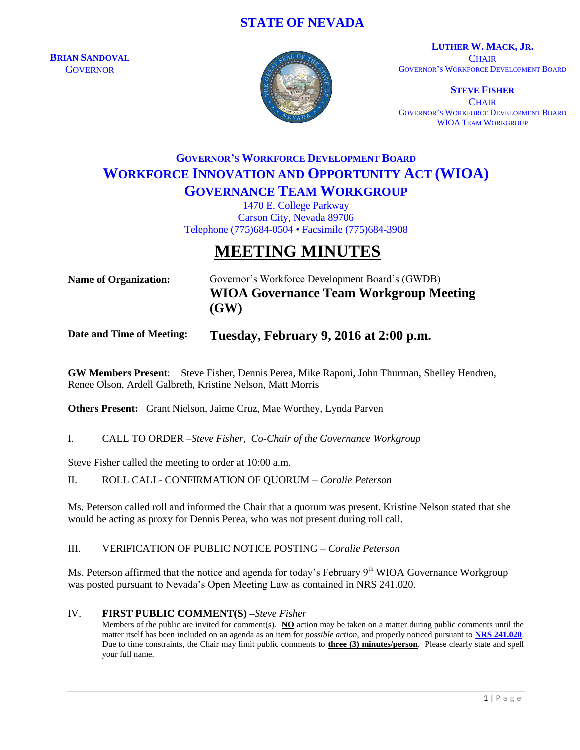## **STATE OF NEVADA**

**BRIAN SANDOVAL GOVERNOR** 



**LUTHER W. MACK, JR. CHAIR** GOVERNOR'S WORKFORCE DEVELOPMENT BOARD

**STEVE FISHER CHAIR** GOVERNOR'S WORKFORCE DEVELOPMENT BOARD WIOA TEAM WORKGROUP

# **GOVERNOR'S WORKFORCE DEVELOPMENT BOARD WORKFORCE INNOVATION AND OPPORTUNITY ACT (WIOA) GOVERNANCE TEAM WORKGROUP**

1470 E. College Parkway Carson City, Nevada 89706 Telephone (775)684-0504 • Facsimile (775)684-3908

# **MEETING MINUTES**

**Name of Organization:** Governor's Workforce Development Board's (GWDB) **WIOA Governance Team Workgroup Meeting (GW)**

### **Date and Time of Meeting: Tuesday, February 9, 2016 at 2:00 p.m.**

**GW Members Present**: Steve Fisher, Dennis Perea, Mike Raponi, John Thurman, Shelley Hendren, Renee Olson, Ardell Galbreth, Kristine Nelson, Matt Morris

**Others Present:** Grant Nielson, Jaime Cruz, Mae Worthey, Lynda Parven

I. CALL TO ORDER –*Steve Fisher, Co-Chair of the Governance Workgroup*

Steve Fisher called the meeting to order at 10:00 a.m.

#### II. ROLL CALL- CONFIRMATION OF QUORUM – *Coralie Peterson*

Ms. Peterson called roll and informed the Chair that a quorum was present. Kristine Nelson stated that she would be acting as proxy for Dennis Perea, who was not present during roll call.

III. VERIFICATION OF PUBLIC NOTICE POSTING – *Coralie Peterson*

Ms. Peterson affirmed that the notice and agenda for today's February 9<sup>th</sup> WIOA Governance Workgroup was posted pursuant to Nevada's Open Meeting Law as contained in NRS 241.020.

#### IV. **FIRST PUBLIC COMMENT(S) –***Steve Fisher*

Members of the public are invited for comment(s). **NO** action may be taken on a matter during public comments until the matter itself has been included on an agenda as an item for *possible action*, and properly noticed pursuant to **[NRS 241.020](http://www.leg.state.nv.us/NRS/NRS-241.html#NRS241Sec020)**. Due to time constraints, the Chair may limit public comments to **three (3) minutes/person**. Please clearly state and spell your full name.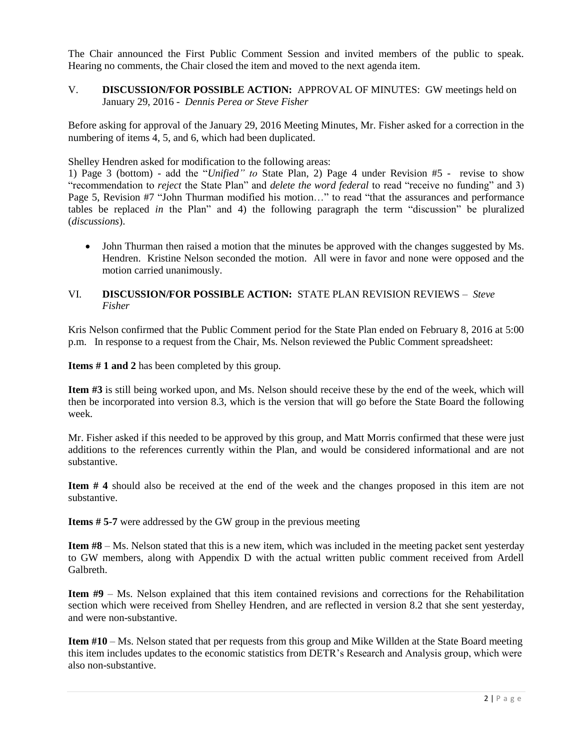The Chair announced the First Public Comment Session and invited members of the public to speak. Hearing no comments, the Chair closed the item and moved to the next agenda item.

V. **DISCUSSION/FOR POSSIBLE ACTION:** APPROVAL OF MINUTES: GW meetings held on January 29, 2016 - *Dennis Perea or Steve Fisher*

Before asking for approval of the January 29, 2016 Meeting Minutes, Mr. Fisher asked for a correction in the numbering of items 4, 5, and 6, which had been duplicated.

Shelley Hendren asked for modification to the following areas:

1) Page 3 (bottom) - add the "*Unified" to* State Plan, 2) Page 4 under Revision #5 - revise to show "recommendation to *reject* the State Plan" and *delete the word federal* to read "receive no funding" and 3) Page 5, Revision #7 "John Thurman modified his motion…" to read "that the assurances and performance tables be replaced *in* the Plan" and 4) the following paragraph the term "discussion" be pluralized (*discussions*).

• John Thurman then raised a motion that the minutes be approved with the changes suggested by Ms. Hendren. Kristine Nelson seconded the motion. All were in favor and none were opposed and the motion carried unanimously.

#### VI. **DISCUSSION/FOR POSSIBLE ACTION:** STATE PLAN REVISION REVIEWS – *Steve Fisher*

Kris Nelson confirmed that the Public Comment period for the State Plan ended on February 8, 2016 at 5:00 p.m. In response to a request from the Chair, Ms. Nelson reviewed the Public Comment spreadsheet:

**Items # 1 and 2** has been completed by this group.

**Item #3** is still being worked upon, and Ms. Nelson should receive these by the end of the week, which will then be incorporated into version 8.3, which is the version that will go before the State Board the following week.

Mr. Fisher asked if this needed to be approved by this group, and Matt Morris confirmed that these were just additions to the references currently within the Plan, and would be considered informational and are not substantive.

**Item # 4** should also be received at the end of the week and the changes proposed in this item are not substantive.

**Items # 5-7** were addressed by the GW group in the previous meeting

**Item #8** – Ms. Nelson stated that this is a new item, which was included in the meeting packet sent yesterday to GW members, along with Appendix D with the actual written public comment received from Ardell Galbreth.

**Item #9** – Ms. Nelson explained that this item contained revisions and corrections for the Rehabilitation section which were received from Shelley Hendren, and are reflected in version 8.2 that she sent yesterday, and were non-substantive.

**Item #10** – Ms. Nelson stated that per requests from this group and Mike Willden at the State Board meeting this item includes updates to the economic statistics from DETR's Research and Analysis group, which were also non-substantive.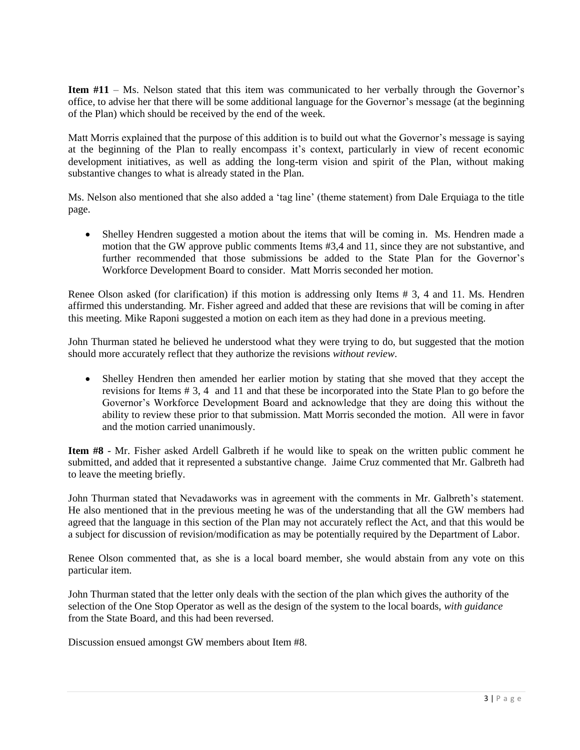**Item #11** – Ms. Nelson stated that this item was communicated to her verbally through the Governor's office, to advise her that there will be some additional language for the Governor's message (at the beginning of the Plan) which should be received by the end of the week.

Matt Morris explained that the purpose of this addition is to build out what the Governor's message is saying at the beginning of the Plan to really encompass it's context, particularly in view of recent economic development initiatives, as well as adding the long-term vision and spirit of the Plan, without making substantive changes to what is already stated in the Plan.

Ms. Nelson also mentioned that she also added a 'tag line' (theme statement) from Dale Erquiaga to the title page.

 Shelley Hendren suggested a motion about the items that will be coming in. Ms. Hendren made a motion that the GW approve public comments Items #3,4 and 11, since they are not substantive, and further recommended that those submissions be added to the State Plan for the Governor's Workforce Development Board to consider. Matt Morris seconded her motion.

Renee Olson asked (for clarification) if this motion is addressing only Items # 3, 4 and 11. Ms. Hendren affirmed this understanding. Mr. Fisher agreed and added that these are revisions that will be coming in after this meeting. Mike Raponi suggested a motion on each item as they had done in a previous meeting.

John Thurman stated he believed he understood what they were trying to do, but suggested that the motion should more accurately reflect that they authorize the revisions *without review*.

 Shelley Hendren then amended her earlier motion by stating that she moved that they accept the revisions for Items # 3, 4 and 11 and that these be incorporated into the State Plan to go before the Governor's Workforce Development Board and acknowledge that they are doing this without the ability to review these prior to that submission. Matt Morris seconded the motion. All were in favor and the motion carried unanimously.

**Item #8** - Mr. Fisher asked Ardell Galbreth if he would like to speak on the written public comment he submitted, and added that it represented a substantive change. Jaime Cruz commented that Mr. Galbreth had to leave the meeting briefly.

John Thurman stated that Nevadaworks was in agreement with the comments in Mr. Galbreth's statement. He also mentioned that in the previous meeting he was of the understanding that all the GW members had agreed that the language in this section of the Plan may not accurately reflect the Act, and that this would be a subject for discussion of revision/modification as may be potentially required by the Department of Labor.

Renee Olson commented that, as she is a local board member, she would abstain from any vote on this particular item.

John Thurman stated that the letter only deals with the section of the plan which gives the authority of the selection of the One Stop Operator as well as the design of the system to the local boards, *with guidance* from the State Board, and this had been reversed.

Discussion ensued amongst GW members about Item #8.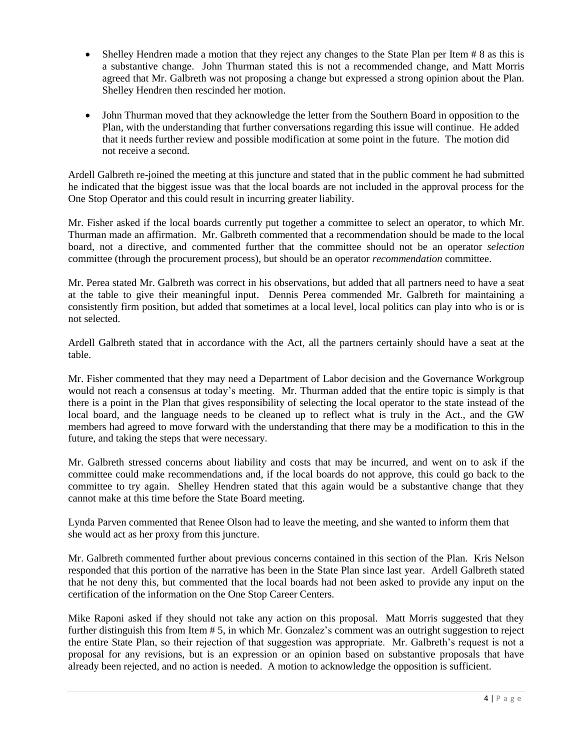- Shelley Hendren made a motion that they reject any changes to the State Plan per Item # 8 as this is a substantive change. John Thurman stated this is not a recommended change, and Matt Morris agreed that Mr. Galbreth was not proposing a change but expressed a strong opinion about the Plan. Shelley Hendren then rescinded her motion.
- John Thurman moved that they acknowledge the letter from the Southern Board in opposition to the Plan, with the understanding that further conversations regarding this issue will continue. He added that it needs further review and possible modification at some point in the future. The motion did not receive a second.

Ardell Galbreth re-joined the meeting at this juncture and stated that in the public comment he had submitted he indicated that the biggest issue was that the local boards are not included in the approval process for the One Stop Operator and this could result in incurring greater liability.

Mr. Fisher asked if the local boards currently put together a committee to select an operator, to which Mr. Thurman made an affirmation. Mr. Galbreth commented that a recommendation should be made to the local board, not a directive, and commented further that the committee should not be an operator *selection* committee (through the procurement process), but should be an operator *recommendation* committee.

Mr. Perea stated Mr. Galbreth was correct in his observations, but added that all partners need to have a seat at the table to give their meaningful input. Dennis Perea commended Mr. Galbreth for maintaining a consistently firm position, but added that sometimes at a local level, local politics can play into who is or is not selected.

Ardell Galbreth stated that in accordance with the Act, all the partners certainly should have a seat at the table.

Mr. Fisher commented that they may need a Department of Labor decision and the Governance Workgroup would not reach a consensus at today's meeting. Mr. Thurman added that the entire topic is simply is that there is a point in the Plan that gives responsibility of selecting the local operator to the state instead of the local board, and the language needs to be cleaned up to reflect what is truly in the Act., and the GW members had agreed to move forward with the understanding that there may be a modification to this in the future, and taking the steps that were necessary.

Mr. Galbreth stressed concerns about liability and costs that may be incurred, and went on to ask if the committee could make recommendations and, if the local boards do not approve, this could go back to the committee to try again. Shelley Hendren stated that this again would be a substantive change that they cannot make at this time before the State Board meeting.

Lynda Parven commented that Renee Olson had to leave the meeting, and she wanted to inform them that she would act as her proxy from this juncture.

Mr. Galbreth commented further about previous concerns contained in this section of the Plan. Kris Nelson responded that this portion of the narrative has been in the State Plan since last year. Ardell Galbreth stated that he not deny this, but commented that the local boards had not been asked to provide any input on the certification of the information on the One Stop Career Centers.

Mike Raponi asked if they should not take any action on this proposal. Matt Morris suggested that they further distinguish this from Item # 5, in which Mr. Gonzalez's comment was an outright suggestion to reject the entire State Plan, so their rejection of that suggestion was appropriate. Mr. Galbreth's request is not a proposal for any revisions, but is an expression or an opinion based on substantive proposals that have already been rejected, and no action is needed. A motion to acknowledge the opposition is sufficient.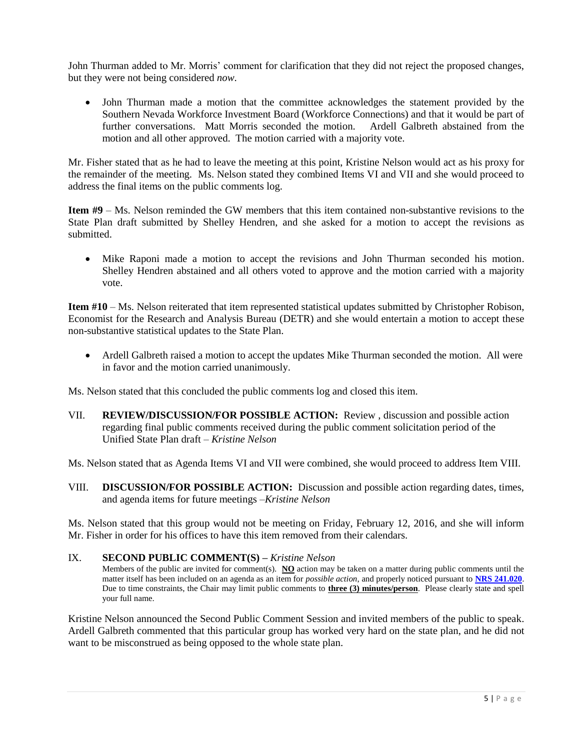John Thurman added to Mr. Morris' comment for clarification that they did not reject the proposed changes, but they were not being considered *now*.

 John Thurman made a motion that the committee acknowledges the statement provided by the Southern Nevada Workforce Investment Board (Workforce Connections) and that it would be part of further conversations. Matt Morris seconded the motion. Ardell Galbreth abstained from the motion and all other approved. The motion carried with a majority vote.

Mr. Fisher stated that as he had to leave the meeting at this point, Kristine Nelson would act as his proxy for the remainder of the meeting. Ms. Nelson stated they combined Items VI and VII and she would proceed to address the final items on the public comments log.

**Item #9** – Ms. Nelson reminded the GW members that this item contained non-substantive revisions to the State Plan draft submitted by Shelley Hendren, and she asked for a motion to accept the revisions as submitted.

 Mike Raponi made a motion to accept the revisions and John Thurman seconded his motion. Shelley Hendren abstained and all others voted to approve and the motion carried with a majority vote.

**Item #10** – Ms. Nelson reiterated that item represented statistical updates submitted by Christopher Robison, Economist for the Research and Analysis Bureau (DETR) and she would entertain a motion to accept these non-substantive statistical updates to the State Plan.

 Ardell Galbreth raised a motion to accept the updates Mike Thurman seconded the motion. All were in favor and the motion carried unanimously.

Ms. Nelson stated that this concluded the public comments log and closed this item.

VII. **REVIEW/DISCUSSION/FOR POSSIBLE ACTION:** Review , discussion and possible action regarding final public comments received during the public comment solicitation period of the Unified State Plan draft – *Kristine Nelson*

Ms. Nelson stated that as Agenda Items VI and VII were combined, she would proceed to address Item VIII.

VIII. **DISCUSSION/FOR POSSIBLE ACTION:** Discussion and possible action regarding dates, times, and agenda items for future meetings –*Kristine Nelson*

Ms. Nelson stated that this group would not be meeting on Friday, February 12, 2016, and she will inform Mr. Fisher in order for his offices to have this item removed from their calendars.

#### IX. **SECOND PUBLIC COMMENT(S) –** *Kristine Nelson*

Members of the public are invited for comment(s). **NO** action may be taken on a matter during public comments until the matter itself has been included on an agenda as an item for *possible action*, and properly noticed pursuant to **[NRS 241.020](http://www.leg.state.nv.us/NRS/NRS-241.html#NRS241Sec020)**. Due to time constraints, the Chair may limit public comments to **three (3) minutes/person**. Please clearly state and spell your full name.

Kristine Nelson announced the Second Public Comment Session and invited members of the public to speak. Ardell Galbreth commented that this particular group has worked very hard on the state plan, and he did not want to be misconstrued as being opposed to the whole state plan.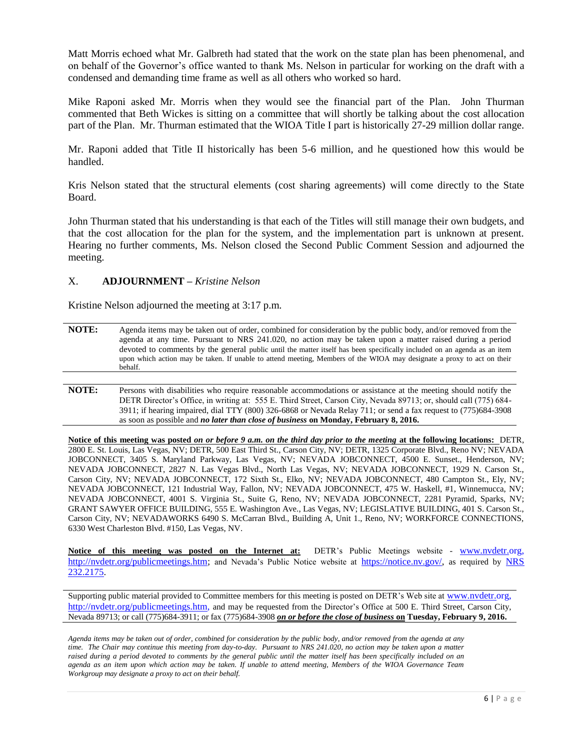Matt Morris echoed what Mr. Galbreth had stated that the work on the state plan has been phenomenal, and on behalf of the Governor's office wanted to thank Ms. Nelson in particular for working on the draft with a condensed and demanding time frame as well as all others who worked so hard.

Mike Raponi asked Mr. Morris when they would see the financial part of the Plan. John Thurman commented that Beth Wickes is sitting on a committee that will shortly be talking about the cost allocation part of the Plan. Mr. Thurman estimated that the WIOA Title I part is historically 27-29 million dollar range.

Mr. Raponi added that Title II historically has been 5-6 million, and he questioned how this would be handled.

Kris Nelson stated that the structural elements (cost sharing agreements) will come directly to the State Board.

John Thurman stated that his understanding is that each of the Titles will still manage their own budgets, and that the cost allocation for the plan for the system, and the implementation part is unknown at present. Hearing no further comments, Ms. Nelson closed the Second Public Comment Session and adjourned the meeting.

#### X. **ADJOURNMENT –** *Kristine Nelson*

Kristine Nelson adjourned the meeting at 3:17 p.m.

- **NOTE:** Agenda items may be taken out of order, combined for consideration by the public body, and/or removed from the agenda at any time. Pursuant to NRS 241.020, no action may be taken upon a matter raised during a period devoted to comments by the general public until the matter itself has been specifically included on an agenda as an item upon which action may be taken. If unable to attend meeting, Members of the WIOA may designate a proxy to act on their behalf.
- **NOTE:** Persons with disabilities who require reasonable accommodations or assistance at the meeting should notify the DETR Director's Office, in writing at: 555 E. Third Street, Carson City, Nevada 89713; or, should call (775) 684- 3911; if hearing impaired, dial TTY (800) 326-6868 or Nevada Relay 711; or send a fax request to (775)684-3908 as soon as possible and *no later than close of business* **on Monday, February 8, 2016.**

**Notice of this meeting was posted** *on or before 9 a.m. on the third day prior to the meeting* **at the following locations:** DETR, 2800 E. St. Louis, Las Vegas, NV; DETR, 500 East Third St., Carson City, NV; DETR, 1325 Corporate Blvd., Reno NV; NEVADA JOBCONNECT, 3405 S. Maryland Parkway, Las Vegas, NV; NEVADA JOBCONNECT, 4500 E. Sunset., Henderson, NV; NEVADA JOBCONNECT, 2827 N. Las Vegas Blvd., North Las Vegas, NV; NEVADA JOBCONNECT, 1929 N. Carson St., Carson City, NV; NEVADA JOBCONNECT, 172 Sixth St., Elko, NV; NEVADA JOBCONNECT, 480 Campton St., Ely, NV; NEVADA JOBCONNECT, 121 Industrial Way, Fallon, NV; NEVADA JOBCONNECT, 475 W. Haskell, #1, Winnemucca, NV; NEVADA JOBCONNECT, 4001 S. Virginia St., Suite G, Reno, NV; NEVADA JOBCONNECT, 2281 Pyramid, Sparks, NV; GRANT SAWYER OFFICE BUILDING, 555 E. Washington Ave., Las Vegas, NV; LEGISLATIVE BUILDING, 401 S. Carson St., Carson City, NV; NEVADAWORKS 6490 S. McCarran Blvd., Building A, Unit 1., Reno, NV; WORKFORCE CONNECTIONS, 6330 West Charleston Blvd. #150, Las Vegas, NV.

**Notice of this meeting was posted on the Internet at:** DETR's Public Meetings website - [www.nvdetr.org,](http://www.nvdetr.org/) [http://nvdetr.org/publicmeetings.htm;](http://nvdetr.org/publicmeetings.htm) and Nevada's Public Notice website at [https://notice.nv.gov/,](https://notice.nv.gov/) as required by NRS [232.2175.](http://www.leg.state.nv.us/NRS/NRS-232.html#NRS232Sec2175)

Supporting public material provided to Committee members for this meeting is posted on DETR's Web site at [www.nvdetr.org,](http://www.nvdetr.org/) [http://nvdetr.org/publicmeetings.htm,](http://nvdetr.org/publicmeetings.htm) and may be requested from the Director's Office at 500 E. Third Street, Carson City, Nevada 89713; or call (775)684-3911; or fax (775)684-3908 *on or before the close of business* **on Tuesday, February 9, 2016.**

*Agenda items may be taken out of order, combined for consideration by the public body, and/or removed from the agenda at any time. The Chair may continue this meeting from day-to-day. Pursuant to NRS 241.020, no action may be taken upon a matter*  raised during a period devoted to comments by the general public until the matter itself has been specifically included on an *agenda as an item upon which action may be taken. If unable to attend meeting, Members of the WIOA Governance Team Workgroup may designate a proxy to act on their behalf.*